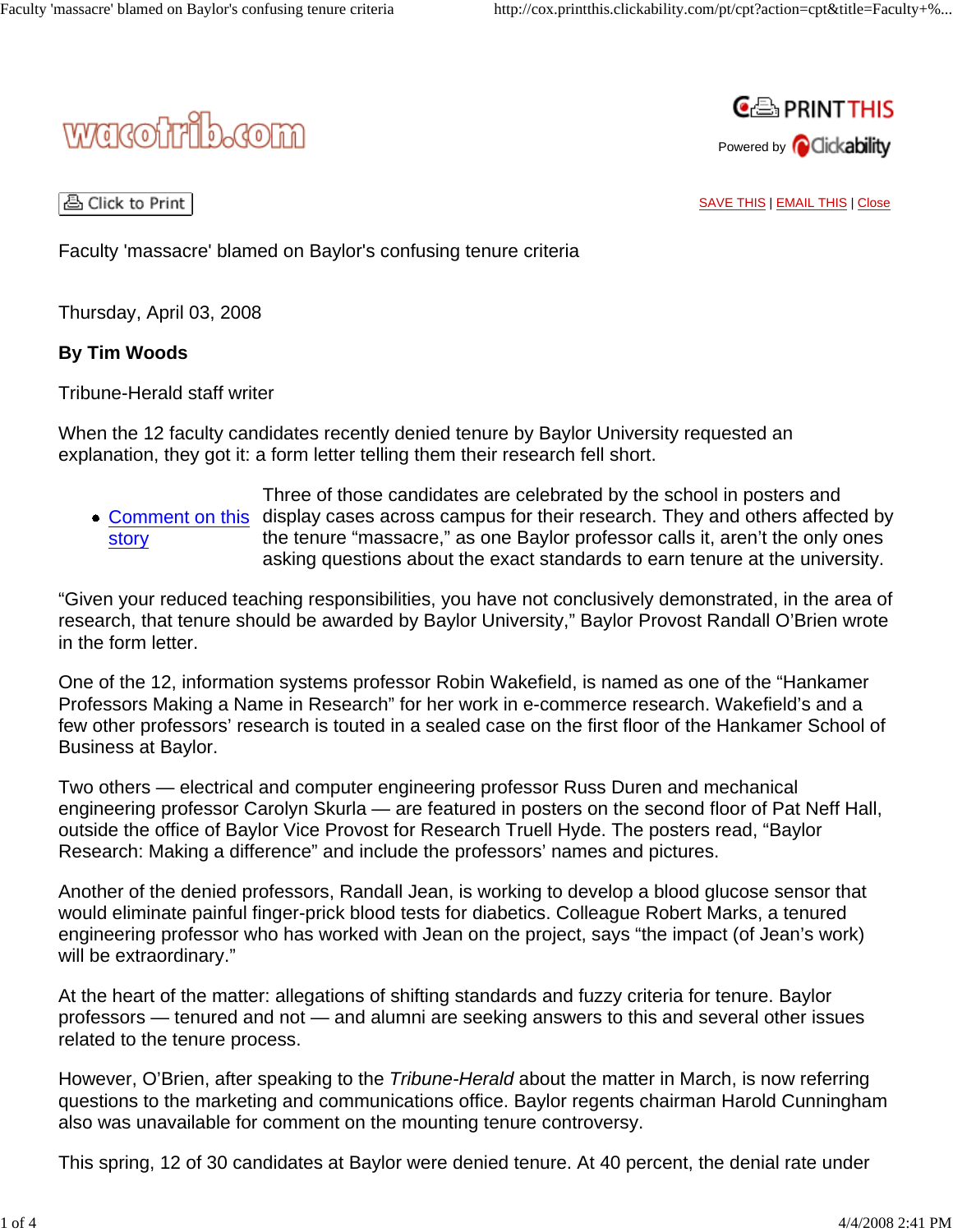



A Click to Print |

SAVE THIS | EMAIL THIS | Close

Faculty 'massacre' blamed on Baylor's confusing tenure criteria

Thursday, April 03, 2008

## **By Tim Woods**

Tribune-Herald staff writer

When the 12 faculty candidates recently denied tenure by Baylor University requested an explanation, they got it: a form letter telling them their research fell short.

Comment on this display cases across campus for their research. They and others affected by story Three of those candidates are celebrated by the school in posters and the tenure "massacre," as one Baylor professor calls it, aren't the only ones asking questions about the exact standards to earn tenure at the university.

"Given your reduced teaching responsibilities, you have not conclusively demonstrated, in the area of research, that tenure should be awarded by Baylor University," Baylor Provost Randall O'Brien wrote in the form letter.

One of the 12, information systems professor Robin Wakefield, is named as one of the "Hankamer Professors Making a Name in Research" for her work in e-commerce research. Wakefield's and a few other professors' research is touted in a sealed case on the first floor of the Hankamer School of Business at Baylor.

Two others — electrical and computer engineering professor Russ Duren and mechanical engineering professor Carolyn Skurla — are featured in posters on the second floor of Pat Neff Hall, outside the office of Baylor Vice Provost for Research Truell Hyde. The posters read, "Baylor Research: Making a difference" and include the professors' names and pictures.

Another of the denied professors, Randall Jean, is working to develop a blood glucose sensor that would eliminate painful finger-prick blood tests for diabetics. Colleague Robert Marks, a tenured engineering professor who has worked with Jean on the project, says "the impact (of Jean's work) will be extraordinary."

At the heart of the matter: allegations of shifting standards and fuzzy criteria for tenure. Baylor professors — tenured and not — and alumni are seeking answers to this and several other issues related to the tenure process.

However, O'Brien, after speaking to the *Tribune-Herald* about the matter in March, is now referring questions to the marketing and communications office. Baylor regents chairman Harold Cunningham also was unavailable for comment on the mounting tenure controversy.

This spring, 12 of 30 candidates at Baylor were denied tenure. At 40 percent, the denial rate under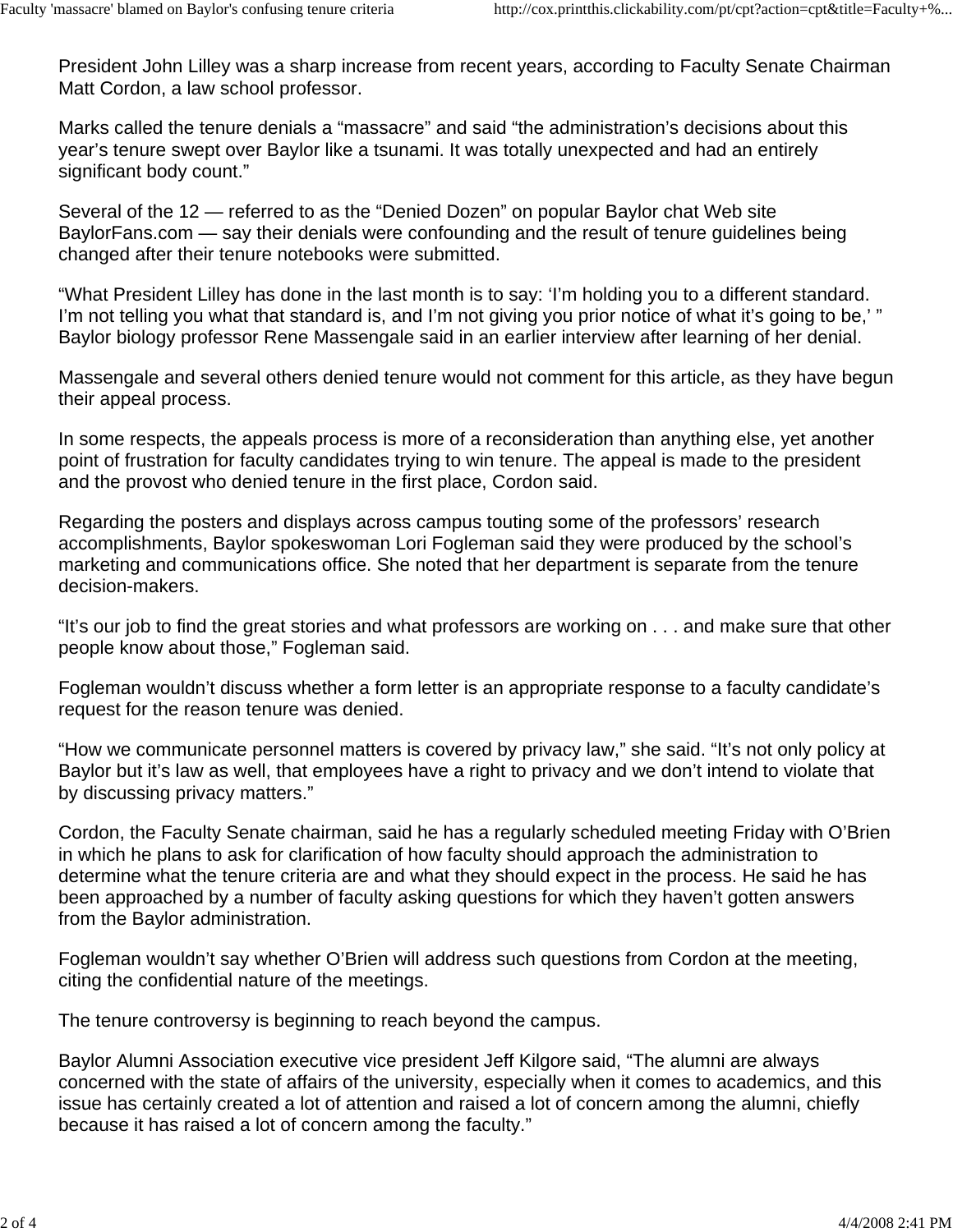President John Lilley was a sharp increase from recent years, according to Faculty Senate Chairman Matt Cordon, a law school professor.

Marks called the tenure denials a "massacre" and said "the administration's decisions about this year's tenure swept over Baylor like a tsunami. It was totally unexpected and had an entirely significant body count."

Several of the 12 — referred to as the "Denied Dozen" on popular Baylor chat Web site BaylorFans.com — say their denials were confounding and the result of tenure guidelines being changed after their tenure notebooks were submitted.

"What President Lilley has done in the last month is to say: 'I'm holding you to a different standard. I'm not telling you what that standard is, and I'm not giving you prior notice of what it's going to be,' " Baylor biology professor Rene Massengale said in an earlier interview after learning of her denial.

Massengale and several others denied tenure would not comment for this article, as they have begun their appeal process.

In some respects, the appeals process is more of a reconsideration than anything else, yet another point of frustration for faculty candidates trying to win tenure. The appeal is made to the president and the provost who denied tenure in the first place, Cordon said.

Regarding the posters and displays across campus touting some of the professors' research accomplishments, Baylor spokeswoman Lori Fogleman said they were produced by the school's marketing and communications office. She noted that her department is separate from the tenure decision-makers.

"It's our job to find the great stories and what professors are working on . . . and make sure that other people know about those," Fogleman said.

Fogleman wouldn't discuss whether a form letter is an appropriate response to a faculty candidate's request for the reason tenure was denied.

"How we communicate personnel matters is covered by privacy law," she said. "It's not only policy at Baylor but it's law as well, that employees have a right to privacy and we don't intend to violate that by discussing privacy matters."

Cordon, the Faculty Senate chairman, said he has a regularly scheduled meeting Friday with O'Brien in which he plans to ask for clarification of how faculty should approach the administration to determine what the tenure criteria are and what they should expect in the process. He said he has been approached by a number of faculty asking questions for which they haven't gotten answers from the Baylor administration.

Fogleman wouldn't say whether O'Brien will address such questions from Cordon at the meeting, citing the confidential nature of the meetings.

The tenure controversy is beginning to reach beyond the campus.

Baylor Alumni Association executive vice president Jeff Kilgore said, "The alumni are always concerned with the state of affairs of the university, especially when it comes to academics, and this issue has certainly created a lot of attention and raised a lot of concern among the alumni, chiefly because it has raised a lot of concern among the faculty."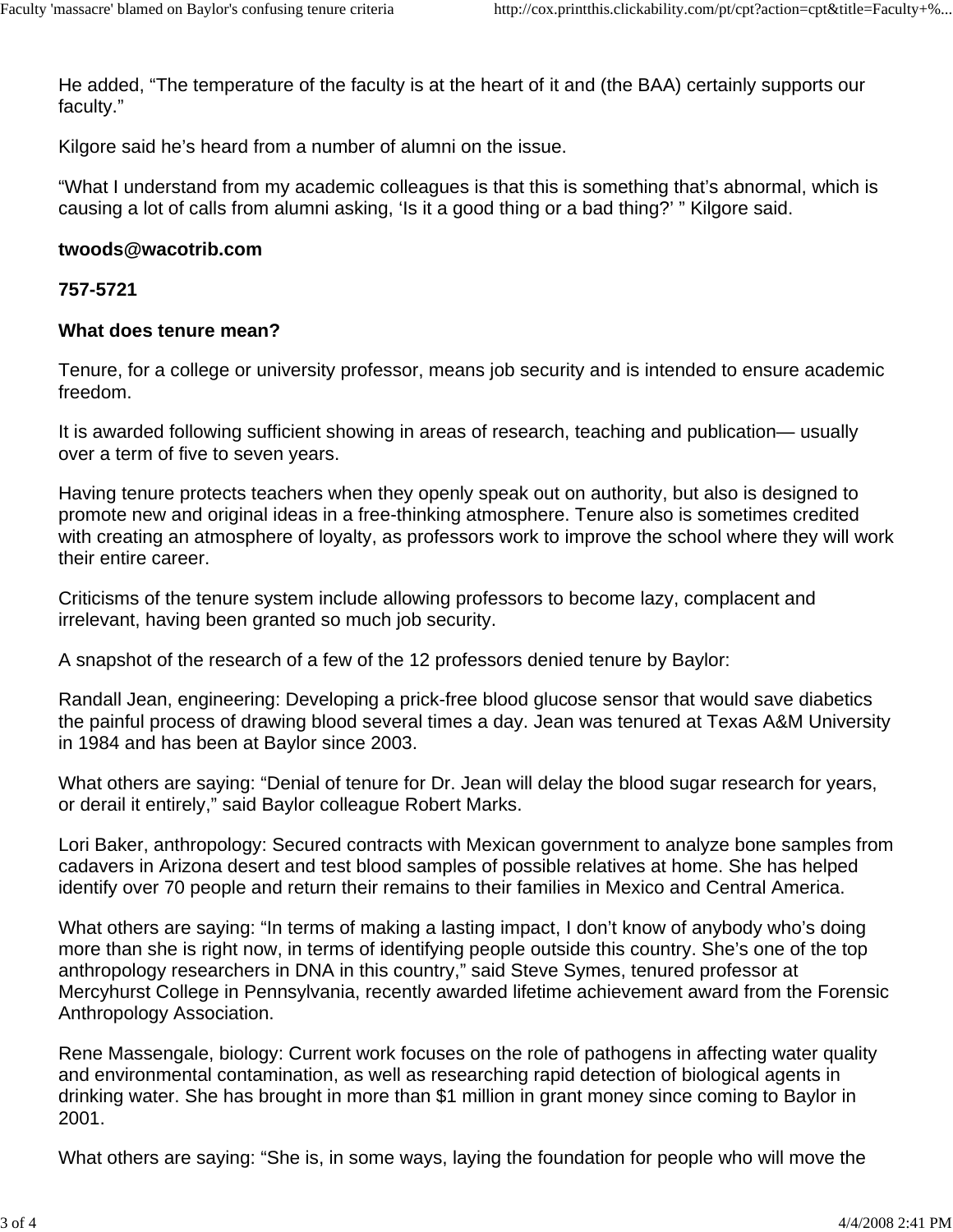He added, "The temperature of the faculty is at the heart of it and (the BAA) certainly supports our faculty."

Kilgore said he's heard from a number of alumni on the issue.

"What I understand from my academic colleagues is that this is something that's abnormal, which is causing a lot of calls from alumni asking, 'Is it a good thing or a bad thing?' " Kilgore said.

## **twoods@wacotrib.com**

## **757-5721**

## **What does tenure mean?**

Tenure, for a college or university professor, means job security and is intended to ensure academic freedom.

It is awarded following sufficient showing in areas of research, teaching and publication— usually over a term of five to seven years.

Having tenure protects teachers when they openly speak out on authority, but also is designed to promote new and original ideas in a free-thinking atmosphere. Tenure also is sometimes credited with creating an atmosphere of loyalty, as professors work to improve the school where they will work their entire career.

Criticisms of the tenure system include allowing professors to become lazy, complacent and irrelevant, having been granted so much job security.

A snapshot of the research of a few of the 12 professors denied tenure by Baylor:

Randall Jean, engineering: Developing a prick-free blood glucose sensor that would save diabetics the painful process of drawing blood several times a day. Jean was tenured at Texas A&M University in 1984 and has been at Baylor since 2003.

What others are saying: "Denial of tenure for Dr. Jean will delay the blood sugar research for years, or derail it entirely," said Baylor colleague Robert Marks.

Lori Baker, anthropology: Secured contracts with Mexican government to analyze bone samples from cadavers in Arizona desert and test blood samples of possible relatives at home. She has helped identify over 70 people and return their remains to their families in Mexico and Central America.

What others are saying: "In terms of making a lasting impact, I don't know of anybody who's doing more than she is right now, in terms of identifying people outside this country. She's one of the top anthropology researchers in DNA in this country," said Steve Symes, tenured professor at Mercyhurst College in Pennsylvania, recently awarded lifetime achievement award from the Forensic Anthropology Association.

Rene Massengale, biology: Current work focuses on the role of pathogens in affecting water quality and environmental contamination, as well as researching rapid detection of biological agents in drinking water. She has brought in more than \$1 million in grant money since coming to Baylor in 2001.

What others are saying: "She is, in some ways, laying the foundation for people who will move the